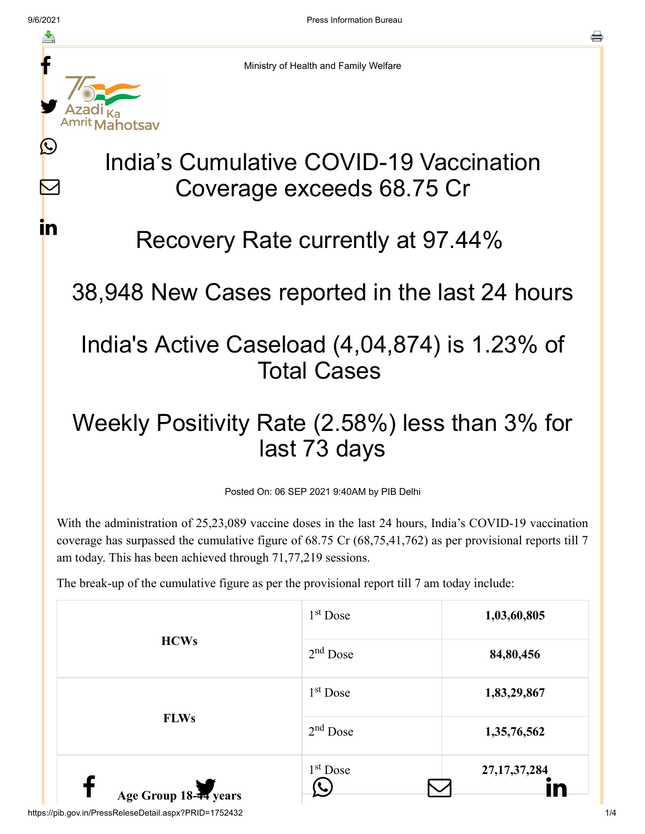$\boldsymbol{\mathsf{M}}$ 

<u>in</u>



Ministry of Health and Family Welfare

# India's Cumulative COVID-19 Vaccination Coverage exceeds 68.75 Cr

#### Recovery Rate currently at 97.44%

#### 38,948 New Cases reported in the last 24 hours

### India's Active Caseload (4,04,874) is 1.23% of Total Cases

## Weekly Positivity Rate (2.58%) less than 3% for last 73 days

Posted On: 06 SEP 2021 9:40AM by PIB Delhi

With the administration of 25,23,089 vaccine doses in the last 24 hours, India's COVID-19 vaccination coverage has surpassed the cumulative figure of 68.75 Cr (68,75,41,762) as per provisional reports till 7 am today. This has been achieved through 71,77,219 sessions.

The break-up of the cumulative figure as per the provisional report till 7 am today include:

|                       | 1 <sup>st</sup> Dose | 1,03,60,805     |
|-----------------------|----------------------|-----------------|
| <b>HCWs</b>           | $2nd$ Dose           | 84,80,456       |
|                       | 1 <sup>st</sup> Dose | 1,83,29,867     |
| <b>FLWs</b>           | $2nd$ Dose           | 1,35,76,562     |
| Age Group 18-44 years | $1st$ Dose           | 27, 17, 37, 284 |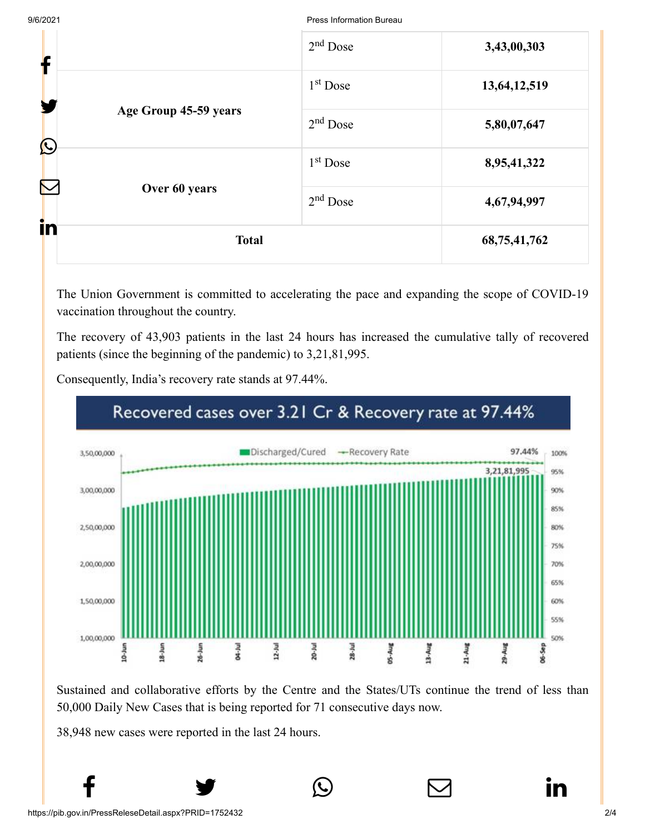9/6/2021 Press Information Bureau

|            |                                        | $2nd$ Dose | 3,43,00,303     |
|------------|----------------------------------------|------------|-----------------|
| T          |                                        | $1st$ Dose | 13,64,12,519    |
|            | Age Group 45-59 years<br>Over 60 years | $2nd$ Dose | 5,80,07,647     |
| $\bigcirc$ |                                        | $1st$ Dose | 8,95,41,322     |
|            |                                        | $2nd$ Dose | 4,67,94,997     |
| in         | <b>Total</b>                           |            | 68, 75, 41, 762 |

The Union Government is committed to accelerating the pace and expanding the scope of COVID-19 vaccination throughout the country.

The recovery of 43,903 patients in the last 24 hours has increased the cumulative tally of recovered patients (since the beginning of the pandemic) to 3,21,81,995.



Consequently, India's recovery rate stands at 97.44%.

Sustained and collaborative efforts by the Centre and the States/UTs continue the trend of less than 50,000 Daily New Cases that is being reported for 71 consecutive days now.

 $f$   $\rightarrow$   $\circ$   $\quad \circ$  in

38,948 new cases were reported in the last 24 hours.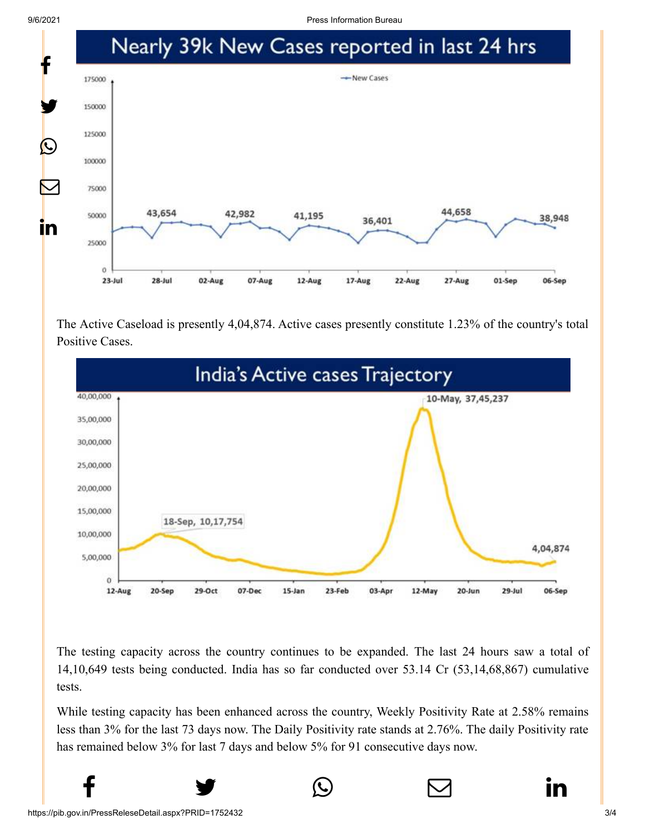9/6/2021 Press Information Bureau



The Active Caseload is presently 4,04,874. Active cases presently constitute 1.23% of the country's total Positive Cases.



The testing capacity across the country continues to be expanded. The last 24 hours saw a total of 14,10,649 tests being conducted. India has so far conducted over 53.14 Cr (53,14,68,867) cumulative tests.

While testing capacity has been enhanced across the country, Weekly Positivity Rate at 2.58% remains less than 3% for the last 73 days now. The Daily Positivity rate stands at 2.76%. The daily Positivity rate has remained below 3% for last 7 days and below 5% for 91 consecutive days now.

 $f$   $\rightarrow$   $\circ$   $\quad \circ$  in